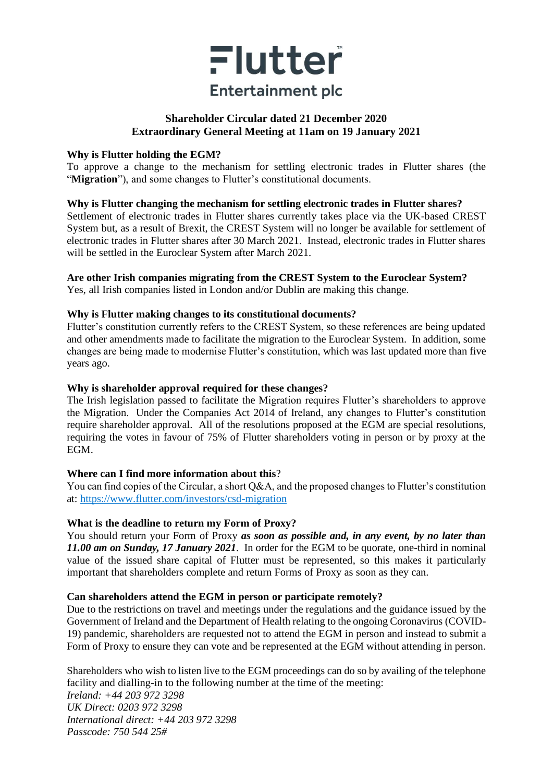

## **Shareholder Circular dated 21 December 2020 Extraordinary General Meeting at 11am on 19 January 2021**

#### **Why is Flutter holding the EGM?**

To approve a change to the mechanism for settling electronic trades in Flutter shares (the "**Migration**"), and some changes to Flutter's constitutional documents.

### **Why is Flutter changing the mechanism for settling electronic trades in Flutter shares?**

Settlement of electronic trades in Flutter shares currently takes place via the UK-based CREST System but, as a result of Brexit, the CREST System will no longer be available for settlement of electronic trades in Flutter shares after 30 March 2021. Instead, electronic trades in Flutter shares will be settled in the Euroclear System after March 2021.

# **Are other Irish companies migrating from the CREST System to the Euroclear System?**

Yes, all Irish companies listed in London and/or Dublin are making this change.

### **Why is Flutter making changes to its constitutional documents?**

Flutter's constitution currently refers to the CREST System, so these references are being updated and other amendments made to facilitate the migration to the Euroclear System. In addition, some changes are being made to modernise Flutter's constitution, which was last updated more than five years ago.

### **Why is shareholder approval required for these changes?**

The Irish legislation passed to facilitate the Migration requires Flutter's shareholders to approve the Migration. Under the Companies Act 2014 of Ireland, any changes to Flutter's constitution require shareholder approval. All of the resolutions proposed at the EGM are special resolutions, requiring the votes in favour of 75% of Flutter shareholders voting in person or by proxy at the EGM.

### **Where can I find more information about this**?

You can find copies of the Circular, a short Q&A, and the proposed changes to Flutter's constitution at:<https://www.flutter.com/investors/csd-migration>

### **What is the deadline to return my Form of Proxy?**

You should return your Form of Proxy *as soon as possible and, in any event, by no later than 11.00 am on Sunday, 17 January 2021*.In order for the EGM to be quorate, one-third in nominal value of the issued share capital of Flutter must be represented, so this makes it particularly important that shareholders complete and return Forms of Proxy as soon as they can.

### **Can shareholders attend the EGM in person or participate remotely?**

Due to the restrictions on travel and meetings under the regulations and the guidance issued by the Government of Ireland and the Department of Health relating to the ongoing Coronavirus (COVID-19) pandemic, shareholders are requested not to attend the EGM in person and instead to submit a Form of Proxy to ensure they can vote and be represented at the EGM without attending in person.

Shareholders who wish to listen live to the EGM proceedings can do so by availing of the telephone facility and dialling-in to the following number at the time of the meeting: *Ireland: +44 203 972 3298 UK Direct: 0203 972 3298 International direct: +44 203 972 3298 Passcode: 750 544 25#*